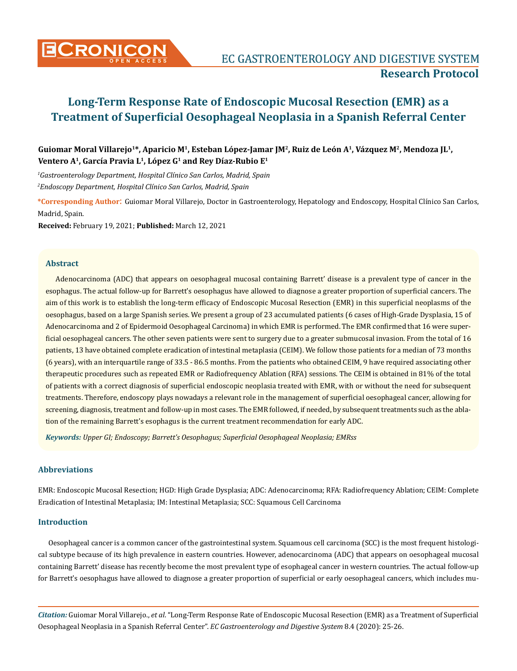

# **Long-Term Response Rate of Endoscopic Mucosal Resection (EMR) as a Treatment of Superficial Oesophageal Neoplasia in a Spanish Referral Center**

## **Guiomar Moral Villarejo1\*, Aparicio M1, Esteban López-Jamar JM2, Ruiz de León A1, Vázquez M2, Mendoza JL1, Ventero A1, García Pravia L1, López G1 and Rey Díaz-Rubio E1**

*1 Gastroenterology Department, Hospital Clínico San Carlos, Madrid, Spain 2 Endoscopy Department, Hospital Clínico San Carlos, Madrid, Spain*

**\*Corresponding Author**: Guiomar Moral Villarejo, Doctor in Gastroenterology, Hepatology and Endoscopy, Hospital Clínico San Carlos, Madrid, Spain.

**Received:** February 19, 2021; **Published:** March 12, 2021

#### **Abstract**

Adenocarcinoma (ADC) that appears on oesophageal mucosal containing Barrett' disease is a prevalent type of cancer in the esophagus. The actual follow-up for Barrett's oesophagus have allowed to diagnose a greater proportion of superficial cancers. The aim of this work is to establish the long-term efficacy of Endoscopic Mucosal Resection (EMR) in this superficial neoplasms of the oesophagus, based on a large Spanish series. We present a group of 23 accumulated patients (6 cases of High-Grade Dysplasia, 15 of Adenocarcinoma and 2 of Epidermoid Oesophageal Carcinoma) in which EMR is performed. The EMR confirmed that 16 were superficial oesophageal cancers. The other seven patients were sent to surgery due to a greater submucosal invasion. From the total of 16 patients, 13 have obtained complete eradication of intestinal metaplasia (CEIM). We follow those patients for a median of 73 months (6 years), with an interquartile range of 33.5 - 86.5 months. From the patients who obtained CEIM, 9 have required associating other therapeutic procedures such as repeated EMR or Radiofrequency Ablation (RFA) sessions. The CEIM is obtained in 81% of the total of patients with a correct diagnosis of superficial endoscopic neoplasia treated with EMR, with or without the need for subsequent treatments. Therefore, endoscopy plays nowadays a relevant role in the management of superficial oesophageal cancer, allowing for screening, diagnosis, treatment and follow-up in most cases. The EMR followed, if needed, by subsequent treatments such as the ablation of the remaining Barrett's esophagus is the current treatment recommendation for early ADC.

*Keywords: Upper GI; Endoscopy; Barrett's Oesophagus; Superficial Oesophageal Neoplasia; EMRss*

## **Abbreviations**

EMR: Endoscopic Mucosal Resection; HGD: High Grade Dysplasia; ADC: Adenocarcinoma; RFA: Radiofrequency Ablation; CEIM: Complete Eradication of Intestinal Metaplasia; IM: Intestinal Metaplasia; SCC: Squamous Cell Carcinoma

### **Introduction**

Oesophageal cancer is a common cancer of the gastrointestinal system. Squamous cell carcinoma (SCC) is the most frequent histological subtype because of its high prevalence in eastern countries. However, adenocarcinoma (ADC) that appears on oesophageal mucosal containing Barrett' disease has recently become the most prevalent type of esophageal cancer in western countries. The actual follow-up for Barrett's oesophagus have allowed to diagnose a greater proportion of superficial or early oesophageal cancers, which includes mu-

*Citation:* Guiomar Moral Villarejo., *et al*. "Long-Term Response Rate of Endoscopic Mucosal Resection (EMR) as a Treatment of Superficial Oesophageal Neoplasia in a Spanish Referral Center". *EC Gastroenterology and Digestive System* 8.4 (2020): 25-26.